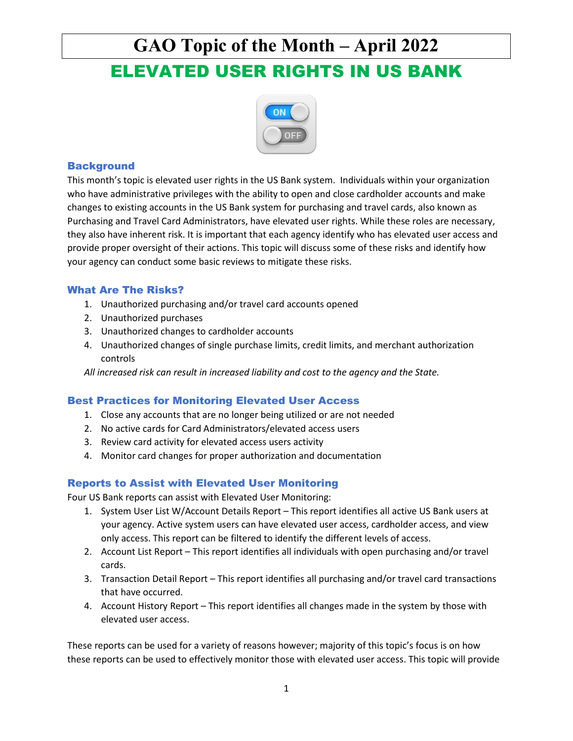

### **Background**

This month's topic is elevated user rights in the US Bank system. Individuals within your organization who have administrative privileges with the ability to open and close cardholder accounts and make changes to existing accounts in the US Bank system for purchasing and travel cards, also known as Purchasing and Travel Card Administrators, have elevated user rights. While these roles are necessary, they also have inherent risk. It is important that each agency identify who has elevated user access and provide proper oversight of their actions. This topic will discuss some of these risks and identify how your agency can conduct some basic reviews to mitigate these risks.

### What Are The Risks?

- 1. Unauthorized purchasing and/or travel card accounts opened
- 2. Unauthorized purchases
- 3. Unauthorized changes to cardholder accounts
- 4. Unauthorized changes of single purchase limits, credit limits, and merchant authorization controls

*All increased risk can result in increased liability and cost to the agency and the State.*

### Best Practices for Monitoring Elevated User Access

- 1. Close any accounts that are no longer being utilized or are not needed
- 2. No active cards for Card Administrators/elevated access users
- 3. Review card activity for elevated access users activity
- 4. Monitor card changes for proper authorization and documentation

### Reports to Assist with Elevated User Monitoring

Four US Bank reports can assist with Elevated User Monitoring:

- 1. System User List W/Account Details Report This report identifies all active US Bank users at your agency. Active system users can have elevated user access, cardholder access, and view only access. This report can be filtered to identify the different levels of access.
- 2. Account List Report This report identifies all individuals with open purchasing and/or travel cards.
- 3. Transaction Detail Report This report identifies all purchasing and/or travel card transactions that have occurred.
- 4. Account History Report This report identifies all changes made in the system by those with elevated user access.

These reports can be used for a variety of reasons however; majority of this topic's focus is on how these reports can be used to effectively monitor those with elevated user access. This topic will provide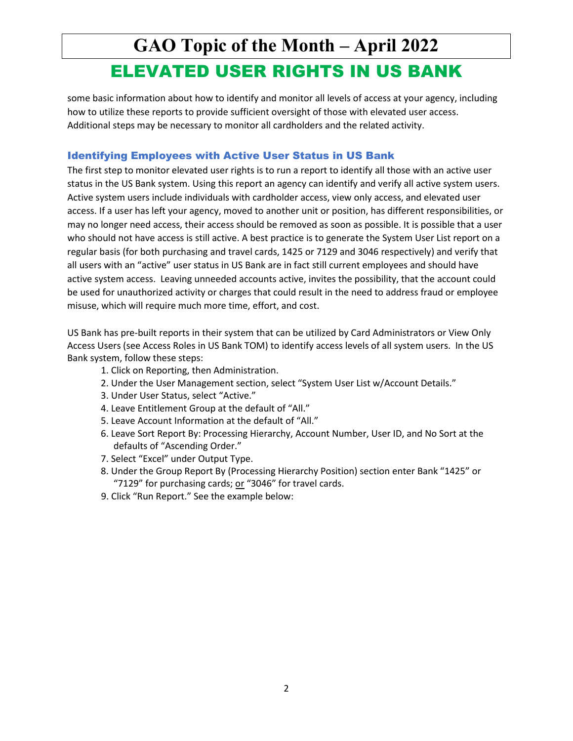some basic information about how to identify and monitor all levels of access at your agency, including how to utilize these reports to provide sufficient oversight of those with elevated user access. Additional steps may be necessary to monitor all cardholders and the related activity.

### Identifying Employees with Active User Status in US Bank

The first step to monitor elevated user rights is to run a report to identify all those with an active user status in the US Bank system. Using this report an agency can identify and verify all active system users. Active system users include individuals with cardholder access, view only access, and elevated user access. If a user has left your agency, moved to another unit or position, has different responsibilities, or may no longer need access, their access should be removed as soon as possible. It is possible that a user who should not have access is still active. A best practice is to generate the System User List report on a regular basis (for both purchasing and travel cards, 1425 or 7129 and 3046 respectively) and verify that all users with an "active" user status in US Bank are in fact still current employees and should have active system access. Leaving unneeded accounts active, invites the possibility, that the account could be used for unauthorized activity or charges that could result in the need to address fraud or employee misuse, which will require much more time, effort, and cost.

US Bank has pre-built reports in their system that can be utilized by Card Administrators or View Only Access Users (see Access Roles in US Bank TOM) to identify access levels of all system users. In the US Bank system, follow these steps:

- 1. Click on Reporting, then Administration.
- 2. Under the User Management section, select "System User List w/Account Details."
- 3. Under User Status, select "Active."
- 4. Leave Entitlement Group at the default of "All."
- 5. Leave Account Information at the default of "All."
- 6. Leave Sort Report By: Processing Hierarchy, Account Number, User ID, and No Sort at the defaults of "Ascending Order."
- 7. Select "Excel" under Output Type.
- 8. Under the Group Report By (Processing Hierarchy Position) section enter Bank "1425" or "7129" for purchasing cards; or "3046" for travel cards.
- 9. Click "Run Report." See the example below: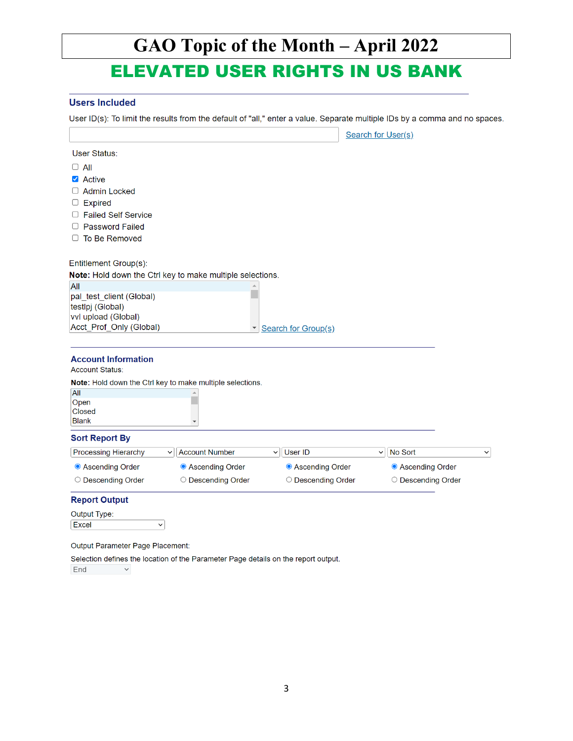# **GAO Topic of the Month – April 2022**

## ELEVATED USER RIGHTS IN US BANK

#### **Users Included**

C

User ID(s): To limit the results from the default of "all," enter a value. Separate multiple IDs by a comma and no spaces.

È. L.

|                                                           |                                                           |                                | <b>Search for User(s)</b> |             |
|-----------------------------------------------------------|-----------------------------------------------------------|--------------------------------|---------------------------|-------------|
| <b>User Status:</b>                                       |                                                           |                                |                           |             |
| $\Box$ All                                                |                                                           |                                |                           |             |
| Active                                                    |                                                           |                                |                           |             |
| <b>Admin Locked</b>                                       |                                                           |                                |                           |             |
| <b>Expired</b>                                            |                                                           |                                |                           |             |
| <b>Failed Self Service</b>                                |                                                           |                                |                           |             |
| <b>Password Failed</b>                                    |                                                           |                                |                           |             |
| $\Box$ To Be Removed                                      |                                                           |                                |                           |             |
| Entitlement Group(s):                                     |                                                           |                                |                           |             |
|                                                           | Note: Hold down the Ctrl key to make multiple selections. |                                |                           |             |
| All                                                       |                                                           |                                |                           |             |
| pal test client (Global)                                  |                                                           |                                |                           |             |
| testlpj (Global)                                          |                                                           |                                |                           |             |
| vvl upload (Global)<br>Acct_Prof_Only (Global)            |                                                           |                                |                           |             |
|                                                           | $\blacktriangledown$                                      | Search for Group(s)            |                           |             |
| <b>Account Information</b>                                |                                                           |                                |                           |             |
| <b>Account Status:</b>                                    |                                                           |                                |                           |             |
| Note: Hold down the Ctrl key to make multiple selections. |                                                           |                                |                           |             |
| All<br>Open                                               |                                                           |                                |                           |             |
| <b>Closed</b>                                             |                                                           |                                |                           |             |
| <b>Blank</b>                                              | v                                                         |                                |                           |             |
| <b>Sort Report By</b>                                     |                                                           |                                |                           |             |
| <b>Processing Hierarchy</b>                               | <b>Account Number</b><br>$\check{ }$                      | <b>User ID</b><br>$\checkmark$ | No Sort<br>$\check{~}$    | $\check{~}$ |
| • Ascending Order                                         | • Ascending Order                                         | • Ascending Order              | <b>O</b> Ascending Order  |             |
| ◯ Descending Order                                        | ◯ Descending Order                                        | ◯ Descending Order             | ◯ Descending Order        |             |
| <b>Report Output</b>                                      |                                                           |                                |                           |             |

Output Type: Excel  $\overline{\phantom{0}}$ 

Output Parameter Page Placement:

Selection defines the location of the Parameter Page details on the report output. End  $\sim$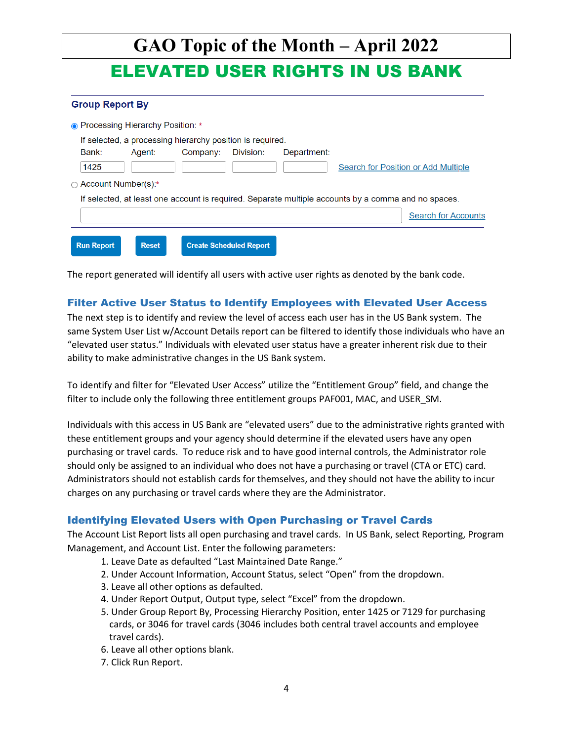| GAO Topic of the Month – April 2022<br><b>ELEVATED USER RIGHTS IN US BANK</b>                       |                                     |
|-----------------------------------------------------------------------------------------------------|-------------------------------------|
| <b>Group Report By</b>                                                                              |                                     |
| • Processing Hierarchy Position: *                                                                  |                                     |
| If selected, a processing hierarchy position is required.                                           |                                     |
| Bank:<br>Company:<br>Division:<br>Department:<br>Agent:                                             |                                     |
| 1425                                                                                                | Search for Position or Add Multiple |
| Account Number(s):*<br>◯                                                                            |                                     |
| If selected, at least one account is required. Separate multiple accounts by a comma and no spaces. |                                     |
|                                                                                                     | <b>Search for Accounts</b>          |

The report generated will identify all users with active user rights as denoted by the bank code.

#### Filter Active User Status to Identify Employees with Elevated User Access

The next step is to identify and review the level of access each user has in the US Bank system. The same System User List w/Account Details report can be filtered to identify those individuals who have an "elevated user status." Individuals with elevated user status have a greater inherent risk due to their ability to make administrative changes in the US Bank system.

To identify and filter for "Elevated User Access" utilize the "Entitlement Group" field, and change the filter to include only the following three entitlement groups PAF001, MAC, and USER\_SM.

Individuals with this access in US Bank are "elevated users" due to the administrative rights granted with these entitlement groups and your agency should determine if the elevated users have any open purchasing or travel cards. To reduce risk and to have good internal controls, the Administrator role should only be assigned to an individual who does not have a purchasing or travel (CTA or ETC) card. Administrators should not establish cards for themselves, and they should not have the ability to incur charges on any purchasing or travel cards where they are the Administrator.

#### Identifying Elevated Users with Open Purchasing or Travel Cards

The Account List Report lists all open purchasing and travel cards. In US Bank, select Reporting, Program Management, and Account List. Enter the following parameters:

- 1. Leave Date as defaulted "Last Maintained Date Range."
- 2. Under Account Information, Account Status, select "Open" from the dropdown.
- 3. Leave all other options as defaulted.
- 4. Under Report Output, Output type, select "Excel" from the dropdown.
- 5. Under Group Report By, Processing Hierarchy Position, enter 1425 or 7129 for purchasing cards, or 3046 for travel cards (3046 includes both central travel accounts and employee travel cards).
- 6. Leave all other options blank.
- 7. Click Run Report.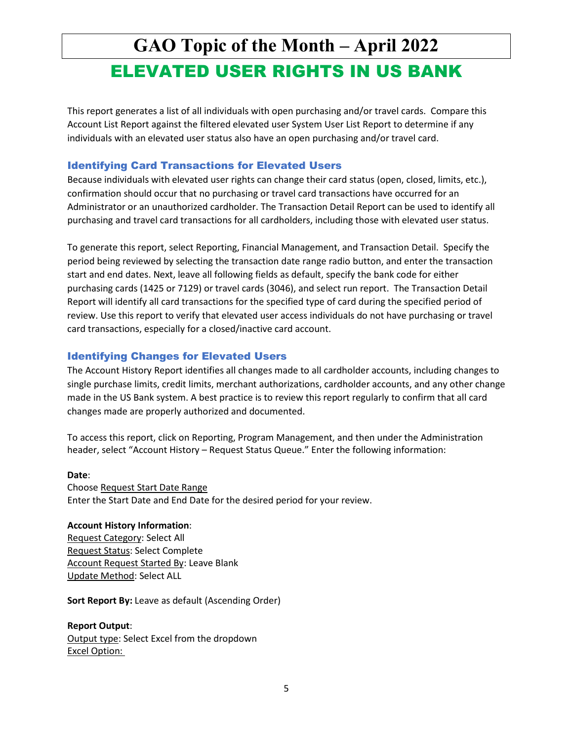This report generates a list of all individuals with open purchasing and/or travel cards. Compare this Account List Report against the filtered elevated user System User List Report to determine if any individuals with an elevated user status also have an open purchasing and/or travel card.

#### Identifying Card Transactions for Elevated Users

Because individuals with elevated user rights can change their card status (open, closed, limits, etc.), confirmation should occur that no purchasing or travel card transactions have occurred for an Administrator or an unauthorized cardholder. The Transaction Detail Report can be used to identify all purchasing and travel card transactions for all cardholders, including those with elevated user status.

To generate this report, select Reporting, Financial Management, and Transaction Detail. Specify the period being reviewed by selecting the transaction date range radio button, and enter the transaction start and end dates. Next, leave all following fields as default, specify the bank code for either purchasing cards (1425 or 7129) or travel cards (3046), and select run report. The Transaction Detail Report will identify all card transactions for the specified type of card during the specified period of review. Use this report to verify that elevated user access individuals do not have purchasing or travel card transactions, especially for a closed/inactive card account.

#### Identifying Changes for Elevated Users

The Account History Report identifies all changes made to all cardholder accounts, including changes to single purchase limits, credit limits, merchant authorizations, cardholder accounts, and any other change made in the US Bank system. A best practice is to review this report regularly to confirm that all card changes made are properly authorized and documented.

To access this report, click on Reporting, Program Management, and then under the Administration header, select "Account History – Request Status Queue." Enter the following information:

#### **Date**:

Choose Request Start Date Range Enter the Start Date and End Date for the desired period for your review.

#### **Account History Information**:

Request Category: Select All Request Status: Select Complete Account Request Started By: Leave Blank Update Method: Select ALL

**Sort Report By: Leave as default (Ascending Order)** 

**Report Output**: Output type: Select Excel from the dropdown Excel Option: